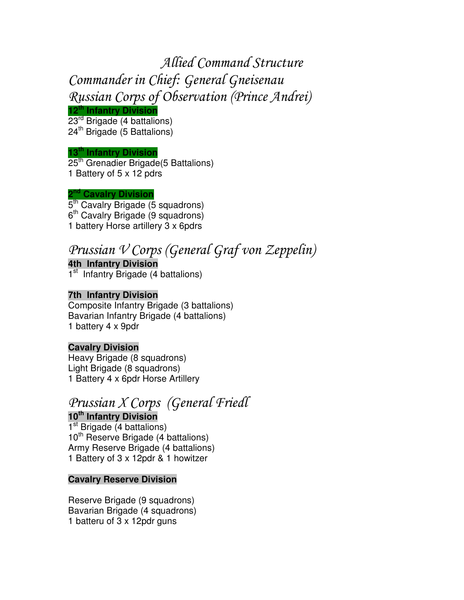# Allied Command Structure Commander in Chief: General Gneisenau Russian Corps of Observation (Prince Andrei)

#### **12 th Infantry Division**

23<sup>rd</sup> Brigade (4 battalions) 24<sup>th</sup> Brigade (5 Battalions)

#### **13 th Infantry Division**

25<sup>th</sup> Grenadier Brigade(5 Battalions) 1 Battery of 5 x 12 pdrs

#### **2 nd Cavalry Division**

5<sup>th</sup> Cavalry Brigade (5 squadrons) 6<sup>th</sup> Cavalry Brigade (9 squadrons) 1 battery Horse artillery 3 x 6pdrs

## Prussian V Corps (General Graf von Zeppelin)

**4th Infantry Division** 1<sup>st</sup> Infantry Brigade (4 battalions)

#### **7th Infantry Division**

Composite Infantry Brigade (3 battalions) Bavarian Infantry Brigade (4 battalions) 1 battery 4 x 9pdr

#### **Cavalry Division**

Heavy Brigade (8 squadrons) Light Brigade (8 squadrons) 1 Battery 4 x 6pdr Horse Artillery

### Prussian X Corps (General Friedl

**10 th Infantry Division** 1<sup>st</sup> Brigade (4 battalions) 10<sup>th</sup> Reserve Brigade (4 battalions) Army Reserve Brigade (4 battalions) 1 Battery of 3 x 12pdr & 1 howitzer

#### **Cavalry Reserve Division**

Reserve Brigade (9 squadrons) Bavarian Brigade (4 squadrons) 1 batteru of 3 x 12pdr guns